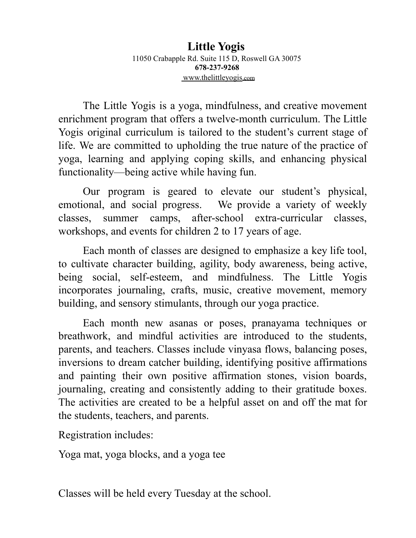## **Little Yogis** 11050 Crabapple Rd. Suite 115 D, Roswell GA 30075 **678-237-9268** www.thelittleyogis.com

The Little Yogis is a yoga, mindfulness, and creative movement enrichment program that offers a twelve-month curriculum. The Little Yogis original curriculum is tailored to the student's current stage of life. We are committed to upholding the true nature of the practice of yoga, learning and applying coping skills, and enhancing physical functionality—being active while having fun.

Our program is geared to elevate our student's physical, emotional, and social progress. We provide a variety of weekly classes, summer camps, after-school extra-curricular classes, workshops, and events for children 2 to 17 years of age.

Each month of classes are designed to emphasize a key life tool, to cultivate character building, agility, body awareness, being active, being social, self-esteem, and mindfulness. The Little Yogis incorporates journaling, crafts, music, creative movement, memory building, and sensory stimulants, through our yoga practice.

Each month new asanas or poses, pranayama techniques or breathwork, and mindful activities are introduced to the students, parents, and teachers. Classes include vinyasa flows, balancing poses, inversions to dream catcher building, identifying positive affirmations and painting their own positive affirmation stones, vision boards, journaling, creating and consistently adding to their gratitude boxes. The activities are created to be a helpful asset on and off the mat for the students, teachers, and parents.

Registration includes:

Yoga mat, yoga blocks, and a yoga tee

Classes will be held every Tuesday at the school.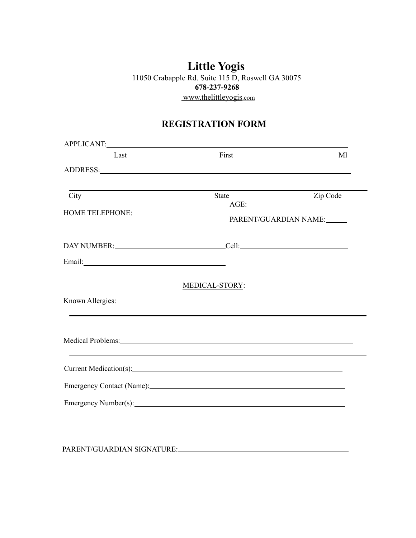## **Little Yogis** 11050 Crabapple Rd. Suite 115 D, Roswell GA 30075 **678-237-9268** www.thelittleyogis.com

# **REGISTRATION FORM**

| APPLICANT: VALUE AND APPLICANT AND A PRODUCT AND A PRODUCT AND A PRODUCT AND A PRODUCT AND A PRODUCT AND A PRO                                                                                                                 |                         |          |
|--------------------------------------------------------------------------------------------------------------------------------------------------------------------------------------------------------------------------------|-------------------------|----------|
| Last                                                                                                                                                                                                                           | First                   | Ml       |
| ADDRESS: And All Contract of the All Contract of the All Contract of the All Contract of the All Contract of the All Contract of the All Contract of the All Contract of the All Contract of the All Contract of the All Contr |                         |          |
|                                                                                                                                                                                                                                |                         |          |
| City                                                                                                                                                                                                                           | <b>State</b><br>$AGE$ : | Zip Code |
| <b>HOME TELEPHONE:</b>                                                                                                                                                                                                         | PARENT/GUARDIAN NAME:   |          |
|                                                                                                                                                                                                                                |                         |          |
|                                                                                                                                                                                                                                |                         |          |
|                                                                                                                                                                                                                                | MEDICAL-STORY:          |          |
| Known Allergies: Lawrence and the contract of the contract of the contract of the contract of the contract of the contract of the contract of the contract of the contract of the contract of the contract of the contract of  |                         |          |
| Medical Problems: New York Contact the Contact of the Contact of the Contact of the Contact of the Contact of the Contact of the Contact of the Contact of the Contact of the Contact of the Contact of the Contact of the Con |                         |          |
| Current Medication(s): 2000 and 2000 and 2000 and 2000 and 2000 and 2000 and 2000 and 2000 and 2000 and 2000 and 2000 and 2000 and 2000 and 2000 and 2000 and 2000 and 2000 and 2000 and 2000 and 2000 and 2000 and 2000 and 2 |                         |          |
| Emergency Contact (Name): 1986                                                                                                                                                                                                 |                         |          |
|                                                                                                                                                                                                                                |                         |          |

PARENT/GUARDIAN SIGNATURE: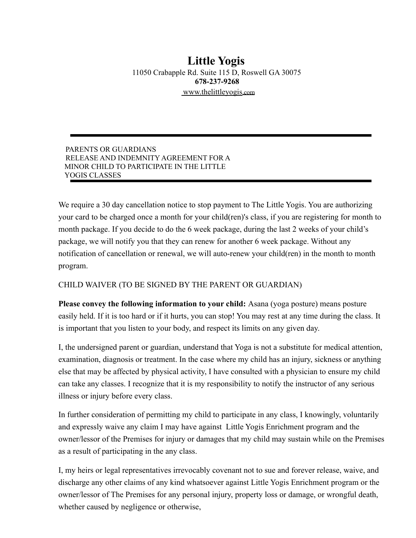## **Little Yogis** 11050 Crabapple Rd. Suite 115 D, Roswell GA 30075 **678-237-9268** www.thelittleyogis.com

#### PARENTS OR GUARDIANS RELEASE AND INDEMNITY AGREEMENT FOR A MINOR CHILD TO PARTICIPATE IN THE LITTLE YOGIS CLASSES

We require a 30 day cancellation notice to stop payment to The Little Yogis. You are authorizing your card to be charged once a month for your child(ren)'s class, if you are registering for month to month package. If you decide to do the 6 week package, during the last 2 weeks of your child's package, we will notify you that they can renew for another 6 week package. Without any notification of cancellation or renewal, we will auto-renew your child(ren) in the month to month program.

#### CHILD WAIVER (TO BE SIGNED BY THE PARENT OR GUARDIAN)

**Please convey the following information to your child:** Asana (yoga posture) means posture easily held. If it is too hard or if it hurts, you can stop! You may rest at any time during the class. It is important that you listen to your body, and respect its limits on any given day.

I, the undersigned parent or guardian, understand that Yoga is not a substitute for medical attention, examination, diagnosis or treatment. In the case where my child has an injury, sickness or anything else that may be affected by physical activity, I have consulted with a physician to ensure my child can take any classes. I recognize that it is my responsibility to notify the instructor of any serious illness or injury before every class.

In further consideration of permitting my child to participate in any class, I knowingly, voluntarily and expressly waive any claim I may have against Little Yogis Enrichment program and the owner/lessor of the Premises for injury or damages that my child may sustain while on the Premises as a result of participating in the any class.

I, my heirs or legal representatives irrevocably covenant not to sue and forever release, waive, and discharge any other claims of any kind whatsoever against Little Yogis Enrichment program or the owner/lessor of The Premises for any personal injury, property loss or damage, or wrongful death, whether caused by negligence or otherwise,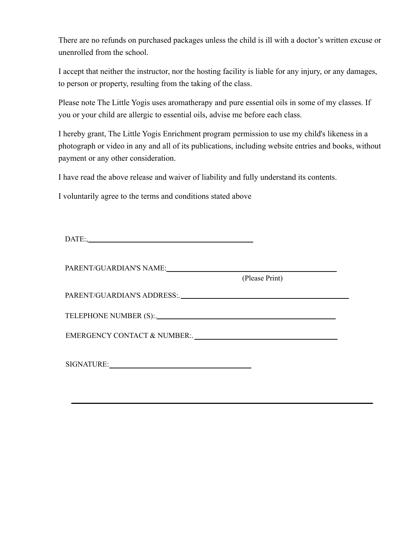There are no refunds on purchased packages unless the child is ill with a doctor's written excuse or unenrolled from the school.

I accept that neither the instructor, nor the hosting facility is liable for any injury, or any damages, to person or property, resulting from the taking of the class.

Please note The Little Yogis uses aromatherapy and pure essential oils in some of my classes. If you or your child are allergic to essential oils, advise me before each class.

I hereby grant, The Little Yogis Enrichment program permission to use my child's likeness in a photograph or video in any and all of its publications, including website entries and books, without payment or any other consideration.

I have read the above release and waiver of liability and fully understand its contents.

I voluntarily agree to the terms and conditions stated above

|                             | (Please Print) |
|-----------------------------|----------------|
|                             |                |
|                             |                |
| EMERGENCY CONTACT & NUMBER: |                |
|                             |                |